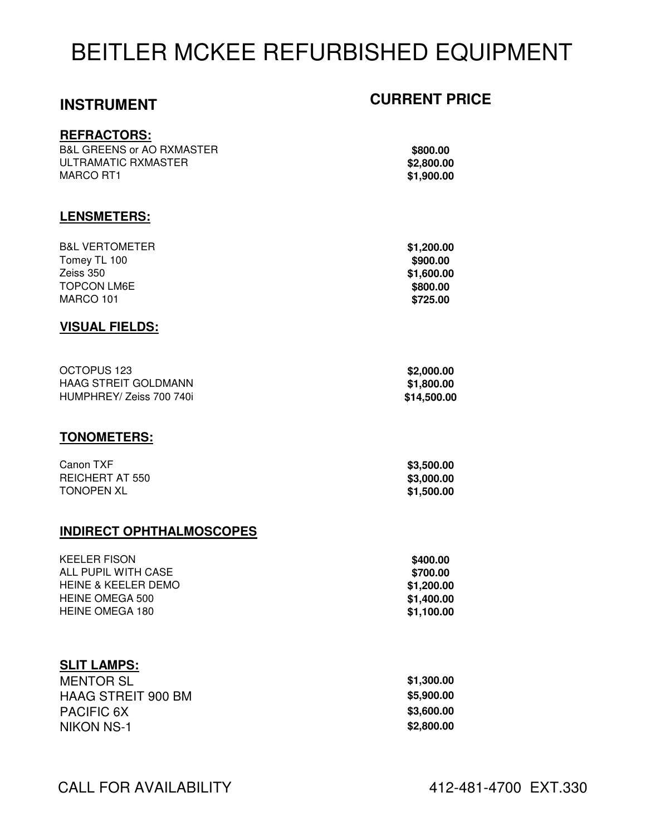# BEITLER MCKEE REFURBISHED EQUIPMENT

### **REFRACTORS:**

**LENSMETERS:**

**B&L GREENS or AO RXMASTER** ULTRAMATIC RXMASTER **\$2,800.00** MARCO RT1 **\$1,900.00**

## **INSTRUMENT CURRENT PRICE**

| \$800.00   |  |
|------------|--|
| \$2,800.00 |  |
| \$1,900.00 |  |

### B&L VERTOMETER **\$1,200.00 Tomey TL 100 \$900.00 \$900.00** Zeiss 350 **\$1,600.00 TOPCON LM6E \$800.00** MARCO 101 **\$725.00**

### **VISUAL FIELDS:**

| OCTOPUS 123              | \$2,000.00  |
|--------------------------|-------------|
| HAAG STREIT GOLDMANN     | \$1,800.00  |
| HUMPHREY/ Zeiss 700 740i | \$14,500.00 |

### **TONOMETERS:**

| Canon TXF         | \$3,500.00 |
|-------------------|------------|
| REICHERT AT 550   | \$3,000.00 |
| <b>TONOPEN XL</b> | \$1,500.00 |

### **INDIRECT OPHTHALMOSCOPES**

| <b>KEELER FISON</b> | \$400.00   |
|---------------------|------------|
| ALL PUPIL WITH CASE | \$700.00   |
| HEINE & KEELER DEMO | \$1,200.00 |
| HEINE OMEGA 500     | \$1.400.00 |
| HEINE OMEGA 180     | \$1,100.00 |
|                     |            |

### **SLIT LAMPS:**

| <b>MENTOR SL</b>          | \$1,300.00 |
|---------------------------|------------|
| <b>HAAG STREIT 900 BM</b> | \$5,900.00 |
| <b>PACIFIC 6X</b>         | \$3,600.00 |
| NIKON NS-1                | \$2,800.00 |